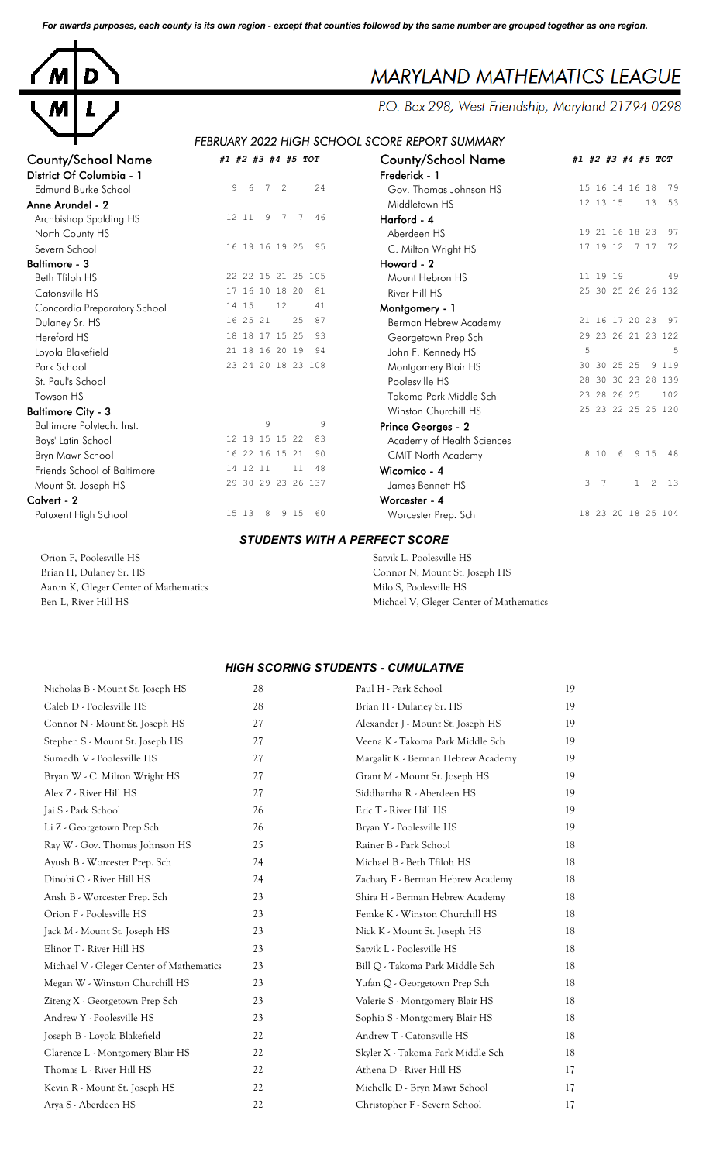*For awards purposes, each county is its own region - except that counties followed by the same number are grouped together as one region.*



## MARYLAND MATHEMATICS LEAGUE

P.O. Box 298, West Friendship, Maryland 21794-0298

## *FEBRUARY 2022 HIGH SCHOOL SCORE REPORT SUMMARY*

| <b>County/School Name</b><br>District Of Columbia - 1 | #1 #2 #3 #4 #5 TOT                       | <b>County/School Name</b><br>Frederick - 1 | #1 #2 #3 #4 #5 TOT                        |
|-------------------------------------------------------|------------------------------------------|--------------------------------------------|-------------------------------------------|
| Edmund Burke School                                   | 24<br>9<br>-6<br>7<br>2                  | Gov. Thomas Johnson HS                     | 15 16 14 16 18<br>79                      |
| Anne Arundel - 2                                      |                                          | Middletown HS                              | 13<br>53<br>12 13 15                      |
|                                                       | 9<br>$7\overline{ }$<br>46<br>12 11<br>7 |                                            |                                           |
| Archbishop Spalding HS                                |                                          | Harford - 4                                | 19 21 16 18 23<br>97                      |
| North County HS                                       | 95                                       | Aberdeen HS                                | 72                                        |
| Severn School                                         | 16 19 16 19 25                           | C. Milton Wright HS                        | 17 19 12<br>7 17                          |
| <b>Baltimore - 3</b>                                  |                                          | Howard - 2                                 |                                           |
| Beth Tfiloh HS                                        | 22 22 15 21 25 105                       | Mount Hebron HS                            | 11 19 19<br>49                            |
| Catonsville HS                                        | 17 16 10 18 20<br>81                     | River Hill HS                              | 25 30 25 26 26 132                        |
| Concordia Preparatory School                          | 14 15<br>12<br>41                        | Montgomery - 1                             |                                           |
| Dulaney Sr. HS                                        | 16 25 21<br>25<br>87                     | Berman Hebrew Academy                      | 97<br>21 16 17 20 23                      |
| Hereford HS                                           | 18 18 17 15 25<br>93                     | Georgetown Prep Sch                        | 29 23 26 21 23 122                        |
| Loyola Blakefield                                     | 21 18 16 20 19<br>94                     | John F. Kennedy HS                         | 5<br>5                                    |
| Park School                                           | 23 24 20 18 23 108                       | Montgomery Blair HS                        | 9 1 1 9<br>30 30 25 25                    |
| St. Paul's School                                     |                                          | Poolesville HS                             | 28 30 30 23 28 139                        |
| Towson HS                                             |                                          | Takoma Park Middle Sch                     | 23 28 26 25<br>102                        |
| <b>Baltimore City - 3</b>                             |                                          | Winston Churchill HS                       | 25 23 22 25 25 120                        |
| Baltimore Polytech. Inst.                             | $\overline{9}$<br>9                      | Prince Georges - 2                         |                                           |
| Boys' Latin School                                    | 12 19 15 15 22<br>83                     | Academy of Health Sciences                 |                                           |
| Bryn Mawr School                                      | 16 22 16 15 21<br>90                     | <b>CMIT North Academy</b>                  | 8 10<br>9 1 5<br>-48<br>6                 |
| Friends School of Baltimore                           | 14 12 11<br>11<br>48                     | Wicomico - 4                               |                                           |
| Mount St. Joseph HS                                   | 29 30 29 23 26 137                       | James Bennett HS                           | 3 <sub>7</sub><br>2<br>13<br>$\mathbf{1}$ |
| Calvert - 2                                           |                                          | Worcester - 4                              |                                           |
| Patuxent High School                                  | 15 13<br>8<br>9 15<br>60                 | Worcester Prep. Sch                        | 18 23 20 18 25 104                        |
|                                                       | <b>STUDENTS WITH A PERFECT SCORE</b>     |                                            |                                           |
| Orion F. Poolesville HS                               |                                          | Satvik L, Poolesville HS                   |                                           |

Brian H, Dulaney Sr. HS Connor N, Mount St. Joseph HS Aaron K, Gleger Center of Mathematics Milo S, Poolesville HS

Ben L, River Hill HS Michael V, Gleger Center of Mathematics

## *HIGH SCORING STUDENTS - CUMULATIVE*

| 28     | Paul H - Park School               | 19 |
|--------|------------------------------------|----|
| 28     | Brian H - Dulaney Sr. HS           | 19 |
| 27     | Alexander J - Mount St. Joseph HS  | 19 |
| 27     | Veena K - Takoma Park Middle Sch   | 19 |
| 27     | Margalit K - Berman Hebrew Academy | 19 |
| 27     | Grant M - Mount St. Joseph HS      | 19 |
| 27     | Siddhartha R - Aberdeen HS         | 19 |
| 26     | Eric T - River Hill HS             | 19 |
| 26     | Bryan Y - Poolesville HS           | 19 |
| 25     | Rainer B - Park School             | 18 |
| 24     | Michael B - Beth Tfiloh HS         | 18 |
| 24     | Zachary F - Berman Hebrew Academy  | 18 |
| 23     | Shira H - Berman Hebrew Academy    | 18 |
| 23     | Femke K - Winston Churchill HS     | 18 |
| 23     | Nick K - Mount St. Joseph HS       | 18 |
| 23     | Satvik L - Poolesville HS          | 18 |
| 23     | Bill Q - Takoma Park Middle Sch    | 18 |
| 23     | Yufan Q - Georgetown Prep Sch      | 18 |
| 23     | Valerie S - Montgomery Blair HS    | 18 |
| 23     | Sophia S - Montgomery Blair HS     | 18 |
| 22     | Andrew T - Catonsville HS          | 18 |
| 22     | Skyler X - Takoma Park Middle Sch  | 18 |
| 22     | Athena D - River Hill HS           | 17 |
| 22     | Michelle D - Bryn Mawr School      | 17 |
| $22\,$ | Christopher F - Severn School      | 17 |
|        |                                    |    |